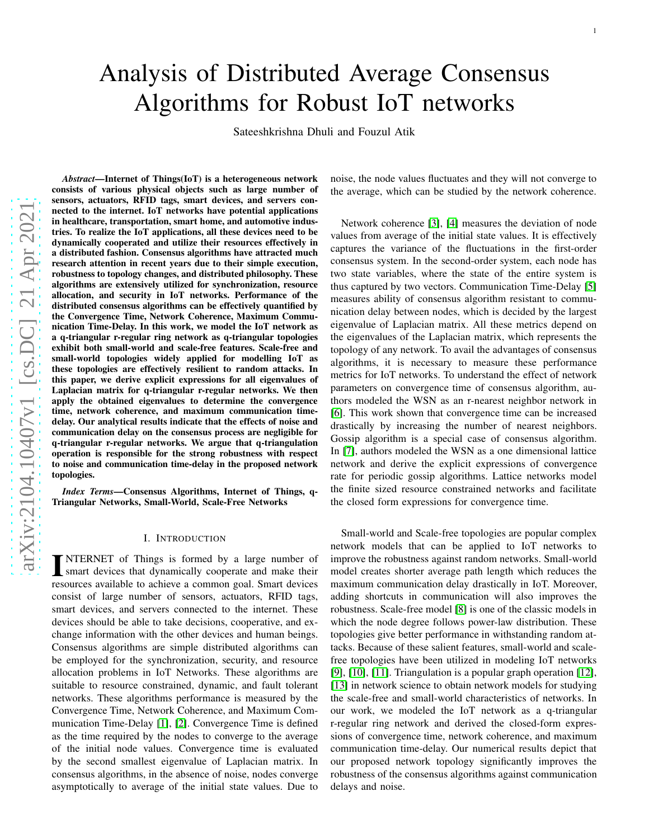# Analysis of Distributed Average Consensus Algorithms for Robust IoT networks

Sateeshkrishna Dhuli and Fouzul Atik

*Abstract*—Internet of Things(IoT) is a heterogeneous network consists of various physical objects such as large number of sensors, actuators, RFID tags, smart devices, and servers connected to the internet. IoT networks have potential applications in healthcare, transportation, smart home, and automotive industries. To realize the IoT applications, all these devices need to be dynamically cooperated and utilize their resources effectively in a distributed fashion. Consensus algorithms have attracted much research attention in recent years due to their simple execution, robustness to topology changes, and distributed philosophy. These algorithms are extensively utilized for synchronization, resource allocation, and security in IoT networks. Performance of th e distributed consensus algorithms can be effectively quantified by the Convergence Time, Network Coherence, Maximum Communication Time-Delay. In this work, we model the IoT network as a q-triangular r-regular ring network as q-triangular topologies exhibit both small-world and scale-free features. Scale-free and small-world topologies widely applied for modelling IoT as these topologies are effectively resilient to random attacks. In this paper, we derive explicit expressions for all eigenvalues of Laplacian matrix for q-triangular r-regular networks. We then apply the obtained eigenvalues to determine the convergenc e time, network coherence, and maximum communication timedelay. Our analytical results indicate that the effects of noise and communication delay on the consensus process are negligible for q-triangular r-regular networks. We argue that q-triangulation operation is responsible for the strong robustness with respect to noise and communication time-delay in the proposed network topologies.

*Index Terms*—Consensus Algorithms, Internet of Things, q-Triangular Networks, Small-World, Scale-Free Networks

#### I. INTRODUCTION

**INTERNET** of Things is formed by a large number of smart devices that dynamically cooperate and make their NTERNET of Things is formed by a large number of resources available to achieve a common goal. Smart devices consist of large number of sensors, actuators, RFID tags, smart devices, and servers connected to the internet. These devices should be able to take decisions, cooperative, and exchange information with the other devices and human beings. Consensus algorithms are simple distributed algorithms ca n be employed for the synchronization, security, and resource allocation problems in IoT Networks. These algorithms are suitable to resource constrained, dynamic, and fault tolerant networks. These algorithms performance is measured by the Convergence Time, Network Coherence, and Maximum Communication Time-Delay [\[1\]](#page-7-0), [\[2\]](#page-7-1). Convergence Time is defined as the time required by the nodes to converge to the average of the initial node values. Convergence time is evaluated by the second smallest eigenvalue of Laplacian matrix. In consensus algorithms, in the absence of noise, nodes converge asymptotically to average of the initial state values. Due t o

noise, the node values fluctuates and they will not converge t o the average, which can be studied by the network coherence.

Network coherence [\[3\]](#page-7-2), [\[4\]](#page-7-3) measures the deviation of node values from average of the initial state values. It is effectively captures the variance of the fluctuations in the first-order consensus system. In the second-order system, each node has two state variables, where the state of the entire system is thus captured by two vectors. Communication Time-Delay [\[5\]](#page-7-4) measures ability of consensus algorithm resistant to commu nication delay between nodes, which is decided by the larges t eigenvalue of Laplacian matrix. All these metrics depend on the eigenvalues of the Laplacian matrix, which represents the topology of any network. To avail the advantages of consensu s algorithms, it is necessary to measure these performance metrics for IoT networks. To understand the effect of networ k parameters on convergence time of consensus algorithm, authors modeled the WSN as an r-nearest neighbor network in [\[6\]](#page-7-5). This work shown that convergence time can be increased drastically by increasing the number of nearest neighbors. Gossip algorithm is a special case of consensus algorithm. In [\[7\]](#page-7-6), authors modeled the WSN as a one dimensional lattice network and derive the explicit expressions of convergence rate for periodic gossip algorithms. Lattice networks mode l the finite sized resource constrained networks and facilitate the closed form expressions for convergence time.

Small-world and Scale-free topologies are popular complex network models that can be applied to IoT networks to improve the robustness against random networks. Small-world model creates shorter average path length which reduces the maximum communication delay drastically in IoT. Moreover, adding shortcuts in communication will also improves the robustness. Scale-free model [\[8\]](#page-7-7) is one of the classic models in which the node degree follows power-law distribution. Thes e topologies give better performance in withstanding random attacks. Because of these salient features, small-world and scalefree topologies have been utilized in modeling IoT networks [\[9\]](#page-7-8), [\[10\]](#page-7-9), [\[11\]](#page-7-10). Triangulation is a popular graph operation [\[12\]](#page-7-11), [\[13\]](#page-7-12) in network science to obtain network models for studying the scale-free and small-world characteristics of networks. In our work, we modeled the IoT network as a q-triangular r-regular ring network and derived the closed-form expressions of convergence time, network coherence, and maximum communication time-delay. Our numerical results depict that our proposed network topology significantly improves the robustness of the consensus algorithms against communication delays and noise.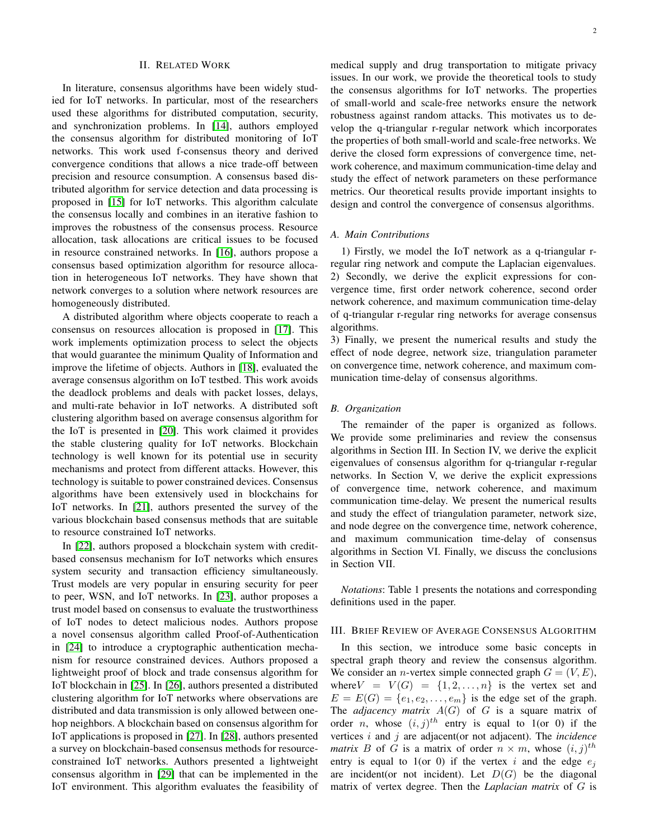## II. RELATED WORK

In literature, consensus algorithms have been widely studied for IoT networks. In particular, most of the researchers used these algorithms for distributed computation, security, and synchronization problems. In [\[14\]](#page-7-13), authors employed the consensus algorithm for distributed monitoring of IoT networks. This work used f-consensus theory and derived convergence conditions that allows a nice trade-off between precision and resource consumption. A consensus based distributed algorithm for service detection and data processing is proposed in [\[15\]](#page-7-14) for IoT networks. This algorithm calculate the consensus locally and combines in an iterative fashion to improves the robustness of the consensus process. Resource allocation, task allocations are critical issues to be focused in resource constrained networks. In [\[16\]](#page-7-15), authors propose a consensus based optimization algorithm for resource allocation in heterogeneous IoT networks. They have shown that network converges to a solution where network resources are homogeneously distributed.

A distributed algorithm where objects cooperate to reach a consensus on resources allocation is proposed in [\[17\]](#page-7-16). This work implements optimization process to select the objects that would guarantee the minimum Quality of Information and improve the lifetime of objects. Authors in [\[18\]](#page-7-17), evaluated the average consensus algorithm on IoT testbed. This work avoids the deadlock problems and deals with packet losses, delays, and multi-rate behavior in IoT networks. A distributed soft clustering algorithm based on average consensus algorithm for the IoT is presented in [\[20\]](#page-7-18). This work claimed it provides the stable clustering quality for IoT networks. Blockchain technology is well known for its potential use in security mechanisms and protect from different attacks. However, this technology is suitable to power constrained devices. Consensus algorithms have been extensively used in blockchains for IoT networks. In [\[21\]](#page-7-19), authors presented the survey of the various blockchain based consensus methods that are suitable to resource constrained IoT networks.

In [\[22\]](#page-7-20), authors proposed a blockchain system with creditbased consensus mechanism for IoT networks which ensures system security and transaction efficiency simultaneously. Trust models are very popular in ensuring security for peer to peer, WSN, and IoT networks. In [\[23\]](#page-7-21), author proposes a trust model based on consensus to evaluate the trustworthiness of IoT nodes to detect malicious nodes. Authors propose a novel consensus algorithm called Proof-of-Authentication in [\[24\]](#page-7-22) to introduce a cryptographic authentication mechanism for resource constrained devices. Authors proposed a lightweight proof of block and trade consensus algorithm for IoT blockchain in [\[25\]](#page-7-23). In [\[26\]](#page-7-24), authors presented a distributed clustering algorithm for IoT networks where observations are distributed and data transmission is only allowed between onehop neighbors. A blockchain based on consensus algorithm for IoT applications is proposed in [\[27\]](#page-7-25). In [\[28\]](#page-7-26), authors presented a survey on blockchain-based consensus methods for resourceconstrained IoT networks. Authors presented a lightweight consensus algorithm in [\[29\]](#page-7-27) that can be implemented in the IoT environment. This algorithm evaluates the feasibility of medical supply and drug transportation to mitigate privacy issues. In our work, we provide the theoretical tools to study the consensus algorithms for IoT networks. The properties of small-world and scale-free networks ensure the network robustness against random attacks. This motivates us to develop the q-triangular r-regular network which incorporates the properties of both small-world and scale-free networks. We derive the closed form expressions of convergence time, network coherence, and maximum communication-time delay and study the effect of network parameters on these performance metrics. Our theoretical results provide important insights to design and control the convergence of consensus algorithms.

## *A. Main Contributions*

1) Firstly, we model the IoT network as a q-triangular rregular ring network and compute the Laplacian eigenvalues. 2) Secondly, we derive the explicit expressions for convergence time, first order network coherence, second order network coherence, and maximum communication time-delay of q-triangular r-regular ring networks for average consensus algorithms.

3) Finally, we present the numerical results and study the effect of node degree, network size, triangulation parameter on convergence time, network coherence, and maximum communication time-delay of consensus algorithms.

# *B. Organization*

The remainder of the paper is organized as follows. We provide some preliminaries and review the consensus algorithms in Section III. In Section IV, we derive the explicit eigenvalues of consensus algorithm for q-triangular r-regular networks. In Section V, we derive the explicit expressions of convergence time, network coherence, and maximum communication time-delay. We present the numerical results and study the effect of triangulation parameter, network size, and node degree on the convergence time, network coherence, and maximum communication time-delay of consensus algorithms in Section VI. Finally, we discuss the conclusions in Section VII.

*Notations*: Table 1 presents the notations and corresponding definitions used in the paper.

#### III. BRIEF REVIEW OF AVERAGE CONSENSUS ALGORITHM

In this section, we introduce some basic concepts in spectral graph theory and review the consensus algorithm. We consider an *n*-vertex simple connected graph  $G = (V, E)$ , where  $V = V(G) = \{1, 2, \ldots, n\}$  is the vertex set and  $E = E(G) = \{e_1, e_2, \dots, e_m\}$  is the edge set of the graph. The *adjacency matrix*  $A(G)$  of G is a square matrix of order *n*, whose  $(i, j)^{th}$  entry is equal to 1(or 0) if the vertices i and j are adjacent(or not adjacent). The *incidence matrix* B of G is a matrix of order  $n \times m$ , whose  $(i, j)^{th}$ entry is equal to 1(or 0) if the vertex i and the edge  $e_i$ are incident(or not incident). Let  $D(G)$  be the diagonal matrix of vertex degree. Then the *Laplacian matrix* of G is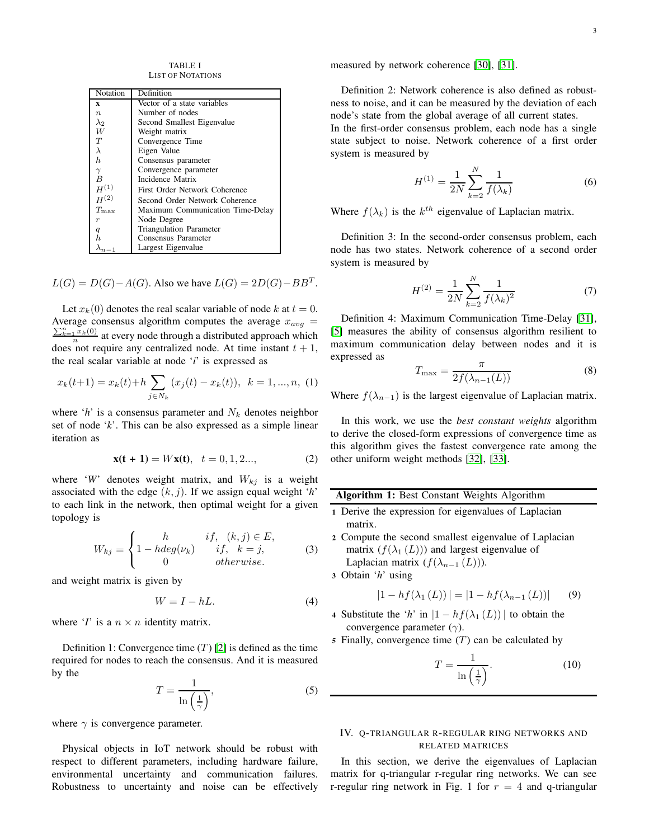TABLE I LIST OF NOTATIONS

| Notation         | Definition                       |  |  |  |
|------------------|----------------------------------|--|--|--|
| X                | Vector of a state variables      |  |  |  |
| $\boldsymbol{n}$ | Number of nodes                  |  |  |  |
| $\lambda_2$      | Second Smallest Eigenvalue       |  |  |  |
| W                | Weight matrix                    |  |  |  |
| T                | Convergence Time                 |  |  |  |
| $\lambda$        | Eigen Value                      |  |  |  |
| h.               | Consensus parameter              |  |  |  |
| $\gamma$         | Convergence parameter            |  |  |  |
| $\overline{B}$   | Incidence Matrix                 |  |  |  |
| $H^{(1)}$        | First Order Network Coherence    |  |  |  |
| H <sup>(2)</sup> | Second Order Network Coherence   |  |  |  |
| $T_{\rm max}$    | Maximum Communication Time-Delay |  |  |  |
| $\boldsymbol{r}$ | Node Degree                      |  |  |  |
| $\boldsymbol{q}$ | <b>Triangulation Parameter</b>   |  |  |  |
| h                | Consensus Parameter              |  |  |  |
|                  | Largest Eigenvalue               |  |  |  |

 $L(G) = D(G) - A(G)$ . Also we have  $L(G) = 2D(G) - BB<sup>T</sup>$ .

Let  $x_k(0)$  denotes the real scalar variable of node k at  $t = 0$ . Average consensus algorithm computes the average  $x_{avg} = \sum_{n=0}^{\infty}$  $\frac{\sum_{k=1}^{n} x_k(0)}{n}$  at every node through a distributed approach which does not require any centralized node. At time instant  $t + 1$ , the real scalar variable at node '*i*' is expressed as

$$
x_k(t+1) = x_k(t) + h \sum_{j \in N_k} (x_j(t) - x_k(t)), \ k = 1, ..., n, (1)
$$

where ' $h$ ' is a consensus parameter and  $N_k$  denotes neighbor set of node '*k*'. This can be also expressed as a simple linear iteration as

$$
\mathbf{x(t + 1)} = W\mathbf{x(t)}, \quad t = 0, 1, 2..., \tag{2}
$$

where '*W*' denotes weight matrix, and  $W_{ki}$  is a weight associated with the edge  $(k, j)$ . If we assign equal weight '*h*' to each link in the network, then optimal weight for a given topology is

$$
W_{kj} = \begin{cases} h & if, (k,j) \in E, \\ 1 - hdeg(\nu_k) & if, k = j, \\ 0 & otherwise. \end{cases}
$$
 (3)

and weight matrix is given by

$$
W = I - hL.\t\t(4)
$$

where '*I*' is a  $n \times n$  identity matrix.

Definition 1: Convergence time  $(T)$  [\[2\]](#page-7-1) is defined as the time required for nodes to reach the consensus. And it is measured by the

<span id="page-2-0"></span>
$$
T = \frac{1}{\ln\left(\frac{1}{\gamma}\right)},\tag{5}
$$

where  $\gamma$  is convergence parameter.

Physical objects in IoT network should be robust with respect to different parameters, including hardware failure, environmental uncertainty and communication failures. Robustness to uncertainty and noise can be effectively measured by network coherence [\[30\]](#page-7-28), [\[31\]](#page-7-29).

Definition 2: Network coherence is also defined as robustness to noise, and it can be measured by the deviation of each node's state from the global average of all current states.

In the first-order consensus problem, each node has a single state subject to noise. Network coherence of a first order system is measured by

<span id="page-2-1"></span>
$$
H^{(1)} = \frac{1}{2N} \sum_{k=2}^{N} \frac{1}{f(\lambda_k)}
$$
(6)

Where  $f(\lambda_k)$  is the  $k^{th}$  eigenvalue of Laplacian matrix.

Definition 3: In the second-order consensus problem, each node has two states. Network coherence of a second order system is measured by

<span id="page-2-2"></span>
$$
H^{(2)} = \frac{1}{2N} \sum_{k=2}^{N} \frac{1}{f(\lambda_k)^2}
$$
 (7)

Definition 4: Maximum Communication Time-Delay [\[31\]](#page-7-29), [\[5\]](#page-7-4) measures the ability of consensus algorithm resilient to maximum communication delay between nodes and it is expressed as

<span id="page-2-3"></span>
$$
T_{\max} = \frac{\pi}{2f(\lambda_{n-1}(L))}
$$
 (8)

Where  $f(\lambda_{n-1})$  is the largest eigenvalue of Laplacian matrix.

In this work, we use the *best constant weights* algorithm to derive the closed-form expressions of convergence time as this algorithm gives the fastest convergence rate among the other uniform weight methods [\[32\]](#page-7-30), [\[33\]](#page-7-31).

|  |  |  |  |  | <b>Algorithm 1: Best Constant Weights Algorithm</b> |  |
|--|--|--|--|--|-----------------------------------------------------|--|
|--|--|--|--|--|-----------------------------------------------------|--|

- <sup>1</sup> Derive the expression for eigenvalues of Laplacian matrix.
- <sup>2</sup> Compute the second smallest eigenvalue of Laplacian matrix  $(f(\lambda_1(L)))$  and largest eigenvalue of Laplacian matrix  $(f(\lambda_{n-1}(L)))$ .

<sup>3</sup> Obtain '*h*' using

$$
|1 - h f(\lambda_1(L))| = |1 - h f(\lambda_{n-1}(L))| \qquad (9)
$$

- 4 Substitute the '*h*' in  $|1 hf(\lambda_1(L))|$  to obtain the convergence parameter  $(\gamma)$ .
- 5 Finally, convergence time  $(T)$  can be calculated by

$$
T = \frac{1}{\ln\left(\frac{1}{\gamma}\right)}.\tag{10}
$$

IV. Q-TRIANGULAR R-REGULAR RING NETWORKS AND RELATED MATRICES

In this section, we derive the eigenvalues of Laplacian matrix for q-triangular r-regular ring networks. We can see r-regular ring network in Fig. 1 for  $r = 4$  and q-triangular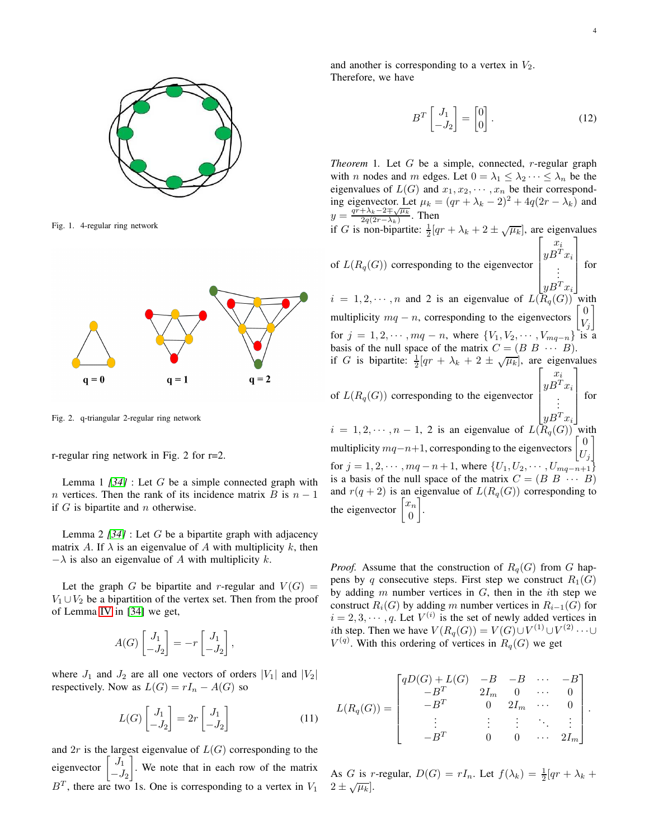

Fig. 1. 4-regular ring network



<span id="page-3-0"></span>Fig. 2. q-triangular 2-regular ring network

r-regular ring network in Fig. 2 for r=2.

Lemma 1 *[\[34\]](#page-7-32)* : Let G be a simple connected graph with *n* vertices. Then the rank of its incidence matrix B is  $n - 1$ if  $G$  is bipartite and  $n$  otherwise.

Lemma 2 *[\[34\]](#page-7-32)* : Let G be a bipartite graph with adjacency matrix A. If  $\lambda$  is an eigenvalue of A with multiplicity k, then  $-\lambda$  is also an eigenvalue of A with multiplicity k.

Let the graph G be bipartite and r-regular and  $V(G)$  =  $V_1 \cup V_2$  be a bipartition of the vertex set. Then from the proof of Lemma [IV](#page-3-0) in [\[34\]](#page-7-32) we get,

$$
A(G)\begin{bmatrix}J_1\\-J_2\end{bmatrix} = -r \begin{bmatrix}J_1\\-J_2\end{bmatrix},
$$

where  $J_1$  and  $J_2$  are all one vectors of orders  $|V_1|$  and  $|V_2|$ respectively. Now as  $L(G) = rI_n - A(G)$  so

$$
L(G)\begin{bmatrix}J_1\\-J_2\end{bmatrix} = 2r \begin{bmatrix}J_1\\-J_2\end{bmatrix}
$$
 (11)

and  $2r$  is the largest eigenvalue of  $L(G)$  corresponding to the eigenvector  $\begin{bmatrix} J_1 \\ J_2 \end{bmatrix}$  $-J_2$  . We note that in each row of the matrix  $B<sup>T</sup>$ , there are two 1s. One is corresponding to a vertex in  $V<sub>1</sub>$ 

and another is corresponding to a vertex in  $V_2$ . Therefore, we have

$$
B^T \begin{bmatrix} J_1 \\ -J_2 \end{bmatrix} = \begin{bmatrix} 0 \\ 0 \end{bmatrix} . \tag{12}
$$

*Theorem* 1. Let G be a simple, connected, r-regular graph with *n* nodes and *m* edges. Let  $0 = \lambda_1 \leq \lambda_2 \cdots \leq \lambda_n$  be the eigenvalues of  $L(G)$  and  $x_1, x_2, \dots, x_n$  be their corresponding eigenvector. Let  $\mu_k = (qr + \lambda_k - 2)^2 + 4q(2r - \lambda_k)$  and  $y = \frac{qr + \lambda_k - 2 \mp \sqrt{\mu_k}}{2q(2r - \lambda_k)}$  $rac{\pm \lambda_k - 2 + \sqrt{\mu_k}}{2q(2r-\lambda_k)}$ . Then

if G is non-bipartite:  $\frac{1}{2}[qr + \lambda_k + 2 \pm \sqrt{\mu_k}]$ , are eigenvalues

of  $L(R_q(G))$  corresponding to the eigenvector  $\lceil$  xi  $yB^Tx_i$ . . .  $|yB^Tx_i|$ 1 for

 $i = 1, 2, \dots, n$  and 2 is an eigenvalue of  $L(R_q(G))$  with multiplicity  $mq - n$ , corresponding to the eigenvectors  $\boldsymbol{0}$  $V_i$ 1 for  $j = 1, 2, \dots, mq - n$ , where  $\{V_1, V_2, \dots, V_{mq-n}\}$  is a basis of the null space of the matrix  $C = (B \ B \ \cdots \ B)$ . if G is bipartite:  $\frac{1}{2}[qr + \lambda_k + 2 \pm \sqrt{\mu_k}]$ , are eigenvalues

of 
$$
L(R_q(G))
$$
 corresponding to the eigenvector 
$$
\begin{bmatrix} x_i \\ yB^T x_i \\ \vdots \\ yB^T x_i \end{bmatrix}
$$
 for   
  $i = 1, 2, \dots, n - 1, 2$  is an eigenvalue of  $L(R_q(G))$  with  
multiplicity  $mq-n+1$ , corresponding to the eigenvectors  $\begin{bmatrix} 0 \\ U_j \end{bmatrix}$ 

for  $j = 1, 2, \dots, mq - n + 1$ , where  $\{U_1, U_2, \dots, U_{mq-n+1}\}$ is a basis of the null space of the matrix  $C = (B \ B \ \cdots \ B)$ and  $r(q + 2)$  is an eigenvalue of  $L(R_q(G))$  corresponding to the eigenvector  $\begin{bmatrix} x_n \\ 0 \end{bmatrix}$ 0 .

*Proof.* Assume that the construction of  $R_q(G)$  from G happens by q consecutive steps. First step we construct  $R_1(G)$ by adding  $m$  number vertices in  $G$ , then in the *i*th step we construct  $R_i(G)$  by adding m number vertices in  $R_{i-1}(G)$  for  $i = 2, 3, \dots, q$ . Let  $V^{(i)}$  is the set of newly added vertices in ith step. Then we have  $V(R_q(G)) = V(G) \cup V^{(1)} \cup V^{(2)} \cdots \cup V^{(n)}$  $V^{(q)}$ . With this ordering of vertices in  $R_q(G)$  we get

$$
L(R_q(G)) = \begin{bmatrix} qD(G) + L(G) & -B & -B & \cdots & -B \\ -B^T & 2I_m & 0 & \cdots & 0 \\ -B^T & 0 & 2I_m & \cdots & 0 \\ \vdots & \vdots & \vdots & \ddots & \vdots \\ -B^T & 0 & 0 & \cdots & 2I_m \end{bmatrix}.
$$

As G is r-regular,  $D(G) = rI_n$ . Let  $f(\lambda_k) = \frac{1}{2}[qr + \lambda_k +$  $2 \pm \sqrt{\mu_k}$ .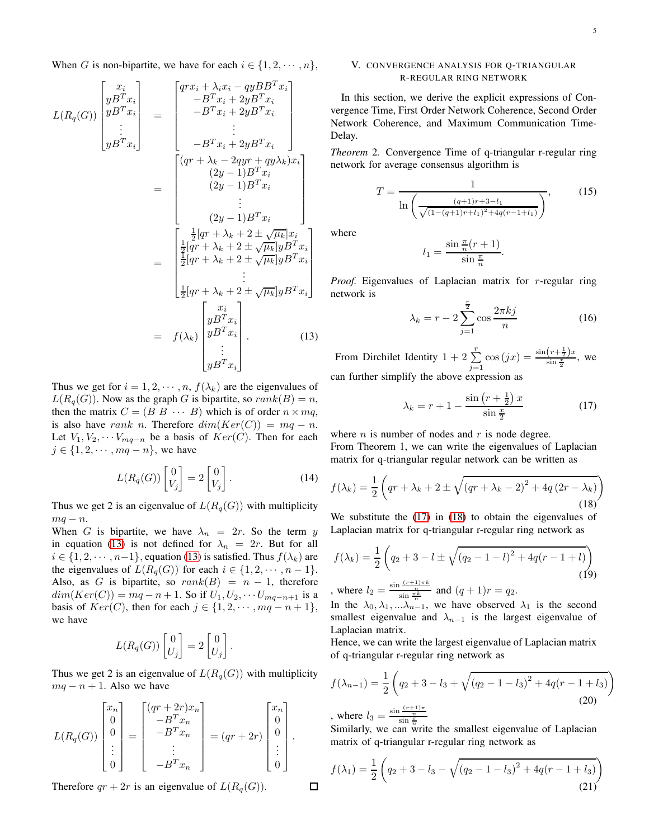When G is non-bipartite, we have for each  $i \in \{1, 2, \dots, n\},\$ 

<span id="page-4-0"></span>
$$
L(R_q(G))\begin{bmatrix} x_i \\ yB^T x_i \\ yB^T x_i \\ \vdots \\ yB^T x_i \end{bmatrix} = \begin{bmatrix} qrx_i + \lambda_i x_i - qyBB^T x_i \\ -B^T x_i + 2yB^T x_i \\ -B^T x_i + 2yB^T x_i \\ \vdots \\ -B^T x_i + 2yB^T x_i \end{bmatrix}
$$

$$
= \begin{bmatrix} (qr + \lambda_k - 2qyr + qy\lambda_k)x_i \\ (2y - 1)B^T x_i \\ (2y - 1)B^T x_i \\ \vdots \\ (2y - 1)B^T x_i \end{bmatrix}
$$

$$
= \begin{bmatrix} \frac{1}{2}[qr + \lambda_k + 2 \pm \sqrt{\mu_k}]x_i \\ \frac{1}{2}[qr + \lambda_k + 2 \pm \sqrt{\mu_k}]yB^T x_i \\ \frac{1}{2}[qr + \lambda_k + 2 \pm \sqrt{\mu_k}]yB^T x_i \\ \vdots \\ \frac{1}{2}[qr + \lambda_k + 2 \pm \sqrt{\mu_k}]yB^T x_i \\ \vdots \\ yB^T x_i \end{bmatrix}
$$

$$
= f(\lambda_k) \begin{bmatrix} x_i \\ yB^T x_i \\ yB^T x_i \\ \vdots \\ yB^T x_i \end{bmatrix} .
$$
(13)

Thus we get for  $i = 1, 2, \dots, n$ ,  $f(\lambda_k)$  are the eigenvalues of  $L(R_q(G))$ . Now as the graph G is bipartite, so  $rank(B) = n$ , then the matrix  $C = (B \ B \ \cdots \ B)$  which is of order  $n \times mq$ , is also have rank n. Therefore  $dim(Ker(C)) = mq - n$ . Let  $V_1, V_2, \cdots V_{mq-n}$  be a basis of  $Ker(C)$ . Then for each  $j \in \{1, 2, \cdots, mq - n\}$ , we have

$$
L(R_q(G))\begin{bmatrix}0\\V_j\end{bmatrix} = 2\begin{bmatrix}0\\V_j\end{bmatrix}.
$$
 (14)

Thus we get 2 is an eigenvalue of  $L(R_q(G))$  with multiplicity  $mq - n$ .

When G is bipartite, we have  $\lambda_n = 2r$ . So the term y in equation [\(13\)](#page-4-0) is not defined for  $\lambda_n = 2r$ . But for all  $i \in \{1, 2, \dots, n-1\}$ , equation [\(13\)](#page-4-0) is satisfied. Thus  $f(\lambda_k)$  are the eigenvalues of  $L(R_q(G))$  for each  $i \in \{1, 2, \dots, n-1\}.$ Also, as G is bipartite, so  $rank(B) = n - 1$ , therefore  $dim(Ker(C)) = mq - n + 1$ . So if  $U_1, U_2, \cdots U_{mq-n+1}$  is a basis of  $Ker(C)$ , then for each  $j \in \{1, 2, \cdots, mq - n + 1\}$ , we have

$$
L(R_q(G))\begin{bmatrix}0\\U_j\end{bmatrix}=2\begin{bmatrix}0\\U_j\end{bmatrix}.
$$

Thus we get 2 is an eigenvalue of  $L(R_q(G))$  with multiplicity  $mq - n + 1$ . Also we have

$$
L(R_q(G))\begin{bmatrix} x_n \\ 0 \\ 0 \\ \vdots \\ 0 \end{bmatrix} = \begin{bmatrix} (qr+2r)x_n \\ -B^Tx_n \\ -B^Tx_n \\ \vdots \\ -B^Tx_n \end{bmatrix} = (qr+2r)\begin{bmatrix} x_n \\ 0 \\ 0 \\ \vdots \\ 0 \end{bmatrix}.
$$

Therefore  $qr + 2r$  is an eigenvalue of  $L(R_q(G))$ .

# V. CONVERGENCE ANALYSIS FOR Q-TRIANGULAR R-REGULAR RING NETWORK

In this section, we derive the explicit expressions of Convergence Time, First Order Network Coherence, Second Order Network Coherence, and Maximum Communication Time-Delay.

*Theorem* 2*.* Convergence Time of q-triangular r-regular ring network for average consensus algorithm is

$$
T = \frac{1}{\ln\left(\frac{(q+1)r+3-l_1}{\sqrt{(1-(q+1)r+l_1)^2+4q(r-1+l_1)}}\right)},\tag{15}
$$

where

口

$$
l_1 = \frac{\sin \frac{\pi}{n}(r+1)}{\sin \frac{\pi}{n}}.
$$

*Proof.* Eigenvalues of Laplacian matrix for r-regular ring network is

$$
\lambda_k = r - 2 \sum_{j=1}^{\frac{r}{2}} \cos \frac{2\pi kj}{n}
$$
 (16)

From Dirchilet Identity  $1 + 2 \sum_{r=1}^{r}$  $j=1$  $\cos(jx) = \frac{\sin(r+\frac{1}{2})x}{\sin\frac{x}{2}}, \text{ we}$ can further simplify the above expression as

<span id="page-4-1"></span>
$$
\lambda_k = r + 1 - \frac{\sin\left(r + \frac{1}{2}\right)x}{\sin\frac{x}{2}} \tag{17}
$$

where  $n$  is number of nodes and  $r$  is node degree. From Theorem 1, we can write the eigenvalues of Laplacian matrix for q-triangular regular network can be written as

<span id="page-4-2"></span>
$$
f(\lambda_k) = \frac{1}{2} \left( qr + \lambda_k + 2 \pm \sqrt{\left( qr + \lambda_k - 2 \right)^2 + 4q \left( 2r - \lambda_k \right)} \right)
$$
\n(18)

We substitute the [\(17\)](#page-4-1) in [\(18\)](#page-4-2) to obtain the eigenvalues of Laplacian matrix for q-triangular r-regular ring network as

$$
f(\lambda_k) = \frac{1}{2} \left( q_2 + 3 - l \pm \sqrt{(q_2 - 1 - l)^2 + 4q(r - 1 + l)} \right)
$$
  
, where  $l_2 = \frac{\sin \frac{(r+1)\pi k}{n}}{\sin \frac{\pi k}{n}}$  and  $(q+1)r = q_2$ . (19)

where  $i_2 = \frac{\sin \pi k}{\sin \pi k}$  and  $(q+1)r = q_2$ .<br>In the  $\lambda_0, \lambda_1, \ldots, \lambda_{n-1}$ , we have observed  $\lambda_1$  is the second smallest eigenvalue and  $\lambda_{n-1}$  is the largest eigenvalue of Laplacian matrix.

Hence, we can write the largest eigenvalue of Laplacian matrix of q-triangular r-regular ring network as

<span id="page-4-3"></span>
$$
f(\lambda_{n-1}) = \frac{1}{2} \left( q_2 + 3 - l_3 + \sqrt{(q_2 - 1 - l_3)^2 + 4q(r - 1 + l_3)} \right)
$$
  
, where  $l_3 = \frac{\sin \frac{(r+1)\pi}{n}}{\sin \frac{\pi}{n}}$  (20)

, where  $l_3 = \frac{\sin \frac{\pi}{n}}{\sin \frac{\pi}{n}}$ <br>Similarly, we can write the smallest eigenvalue of Laplacian matrix of q-triangular r-regular ring network as

$$
f(\lambda_1) = \frac{1}{2} \left( q_2 + 3 - l_3 - \sqrt{(q_2 - 1 - l_3)^2 + 4q(r - 1 + l_3)} \right)
$$
\n(21)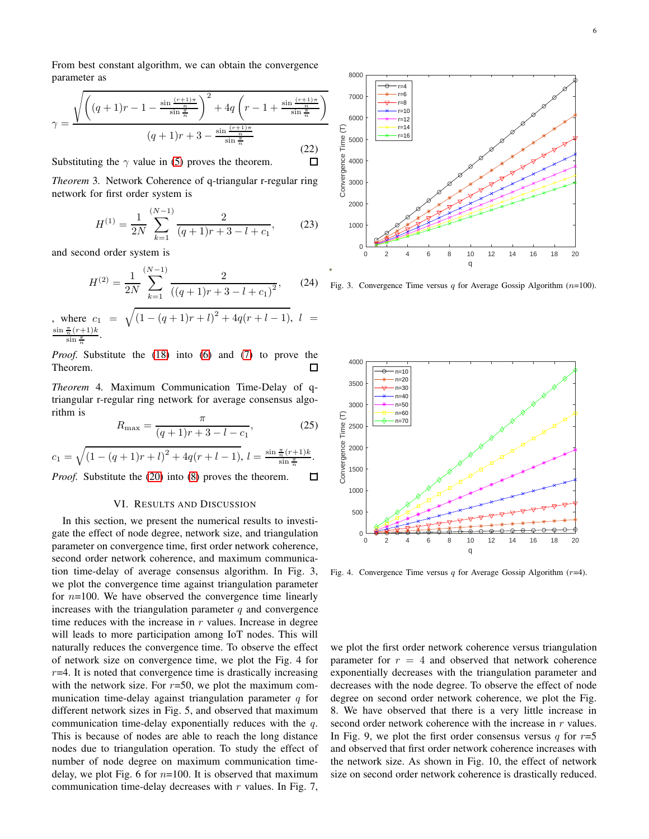From best constant algorithm, we can obtain the convergence parameter as

$$
\gamma = \frac{\sqrt{\left( (q+1)r - 1 - \frac{\sin\frac{(r+1)\pi}{n}}{\sin\frac{\pi}{n}} \right)^2 + 4q \left( r - 1 + \frac{\sin\frac{(r+1)\pi}{n}}{\sin\frac{\pi}{n}} \right)}}{(q+1)r + 3 - \frac{\sin\frac{(r+1)\pi}{n}}{\sin\frac{\pi}{n}}}
$$
(22)

Substituting the  $\gamma$  value in [\(5\)](#page-2-0) proves the theorem.

*Theorem* 3*.* Network Coherence of q-triangular r-regular ring network for first order system is

$$
H^{(1)} = \frac{1}{2N} \sum_{k=1}^{(N-1)} \frac{2}{(q+1)r+3-l+c_1},
$$
 (23)

 $\Box$ 

and second order system is

$$
H^{(2)} = \frac{1}{2N} \sum_{k=1}^{(N-1)} \frac{2}{((q+1)r+3-l+c_1)^2},
$$
 (24)

, where 
$$
c_1 = \sqrt{(1 - (q+1)r + l)^2 + 4q(r+l-1)}, l = \frac{\sin \frac{\pi}{n}(r+1)k}{\sin \frac{\pi}{n}}
$$
.

*Proof.* Substitute the [\(18\)](#page-4-2) into [\(6\)](#page-2-1) and [\(7\)](#page-2-2) to prove the Theorem. П

*Theorem* 4*.* Maximum Communication Time-Delay of qtriangular r-regular ring network for average consensus algorithm is

$$
R_{\text{max}} = \frac{\pi}{(q+1)r+3-l-c_1},\tag{25}
$$

$$
c_1 = \sqrt{\left(1 - (q+1)r + l\right)^2 + 4q(r+l-1)}, \ l = \frac{\sin \frac{\pi}{n}(r+1)k}{\sin \frac{\pi}{n}}.
$$

*Proof.* Substitute the [\(20\)](#page-4-3) into [\(8\)](#page-2-3) proves the theorem. 口

#### VI. RESULTS AND DISCUSSION

In this section, we present the numerical results to investigate the effect of node degree, network size, and triangulation parameter on convergence time, first order network coherence, second order network coherence, and maximum communication time-delay of average consensus algorithm. In Fig. 3, we plot the convergence time against triangulation parameter for  $n=100$ . We have observed the convergence time linearly increases with the triangulation parameter  $q$  and convergence time reduces with the increase in  $r$  values. Increase in degree will leads to more participation among IoT nodes. This will naturally reduces the convergence time. To observe the effect of network size on convergence time, we plot the Fig. 4 for  $r=4$ . It is noted that convergence time is drastically increasing with the network size. For  $r=50$ , we plot the maximum communication time-delay against triangulation parameter  $q$  for different network sizes in Fig. 5, and observed that maximum communication time-delay exponentially reduces with the q. This is because of nodes are able to reach the long distance nodes due to triangulation operation. To study the effect of number of node degree on maximum communication timedelay, we plot Fig. 6 for  $n=100$ . It is observed that maximum communication time-delay decreases with  $r$  values. In Fig. 7,



Fig. 3. Convergence Time versus q for Average Gossip Algorithm  $(n=100)$ .



Fig. 4. Convergence Time versus q for Average Gossip Algorithm  $(r=4)$ .

we plot the first order network coherence versus triangulation parameter for  $r = 4$  and observed that network coherence exponentially decreases with the triangulation parameter and decreases with the node degree. To observe the effect of node degree on second order network coherence, we plot the Fig. 8. We have observed that there is a very little increase in second order network coherence with the increase in r values. In Fig. 9, we plot the first order consensus versus  $q$  for  $r=5$ and observed that first order network coherence increases with the network size. As shown in Fig. 10, the effect of network size on second order network coherence is drastically reduced.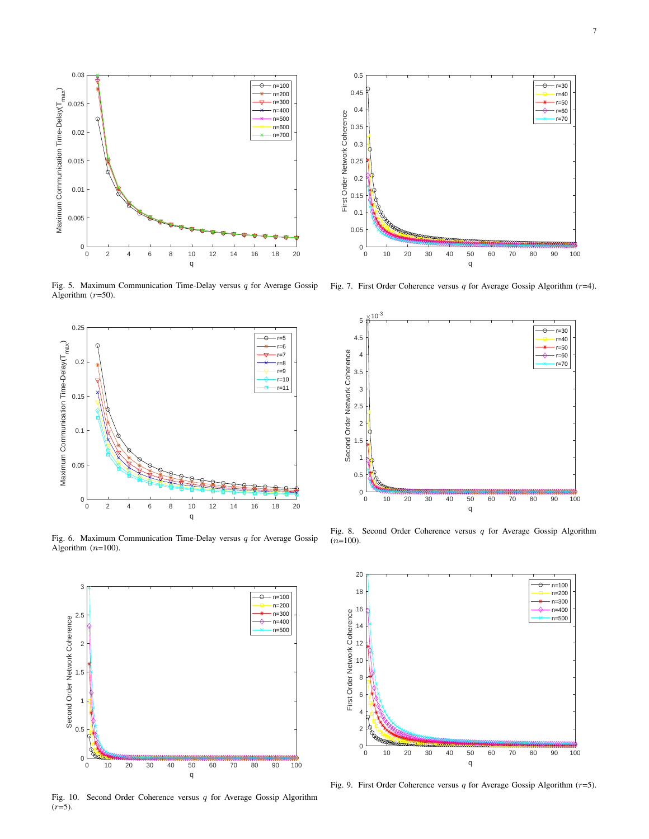

Fig. 5. Maximum Communication Time-Delay versus  $q$  for Average Gossip Algorithm  $(r=50)$ .



Fig. 6. Maximum Communication Time-Delay versus  $q$  for Average Gossip Algorithm  $(n=100)$ .



Fig. 10. Second Order Coherence versus q for Average Gossip Algorithm  $(r=5)$ .



Fig. 7. First Order Coherence versus  $q$  for Average Gossip Algorithm ( $r=4$ ).



Fig. 8. Second Order Coherence versus  $q$  for Average Gossip Algorithm  $(n=100)$ .



Fig. 9. First Order Coherence versus  $q$  for Average Gossip Algorithm ( $r=5$ ).